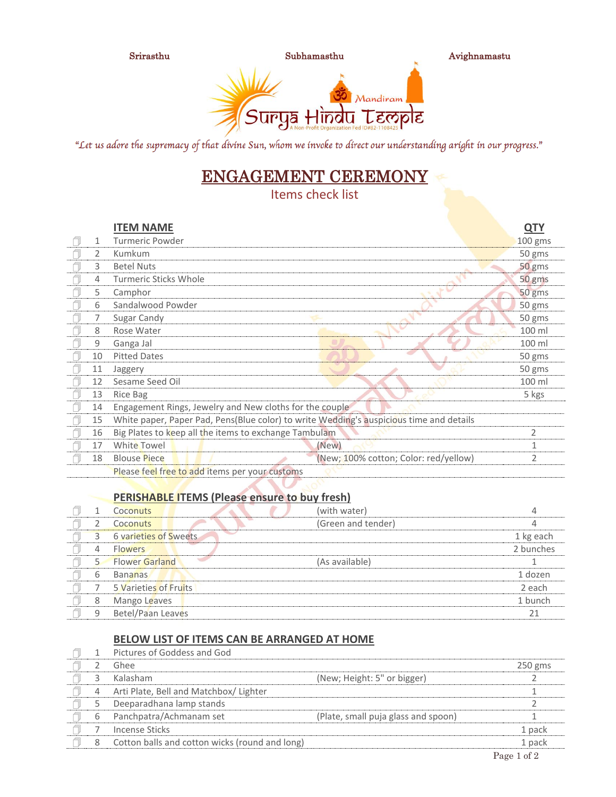

Srirasthu Subhamasthu Avighnamastu



"Let us adore the supremacy of that divine Sun, whom we invoke to direct our understanding aright in our progress."

## ENGAGEMENT CEREMONY

Items check list

|   |    | <b>ITEM NAME</b>                                                                        |                                       | <u>QTY</u>     |
|---|----|-----------------------------------------------------------------------------------------|---------------------------------------|----------------|
| ı | 1  | <b>Turmeric Powder</b>                                                                  |                                       | 100 gms        |
|   | 2  | Kumkum                                                                                  |                                       | 50 gms         |
|   | 3  | <b>Betel Nuts</b>                                                                       |                                       | 50 gms         |
|   | 4  | <b>Turmeric Sticks Whole</b>                                                            |                                       | 50 gms         |
|   | 5  | Camphor                                                                                 |                                       | 50 gms         |
|   | 6  | Sandalwood Powder                                                                       |                                       | 50 gms         |
|   |    | Sugar Candy                                                                             |                                       | 50 gms         |
|   | 8  | Rose Water                                                                              |                                       | 100 ml         |
|   | 9  | Ganga Jal                                                                               |                                       | 100 ml         |
|   | 10 | <b>Pitted Dates</b>                                                                     |                                       | 50 gms         |
|   | 11 | Jaggery                                                                                 |                                       | 50 gms         |
|   | 12 | Sesame Seed Oil                                                                         |                                       | 100 ml         |
|   | 13 | Rice Bag                                                                                |                                       | 5 kgs          |
|   | 14 | Engagement Rings, Jewelry and New cloths for the couple                                 |                                       |                |
|   | 15 | White paper, Paper Pad, Pens(Blue color) to write Wedding's auspicious time and details |                                       |                |
|   | 16 | Big Plates to keep all the items to exchange Tambulam                                   |                                       | $\overline{2}$ |
|   | 17 | White Towel                                                                             | (New)                                 | 1              |
|   | 18 | <b>Blouse Piece</b>                                                                     | (New; 100% cotton; Color: red/yellow) | 2              |
|   |    | Please feel free to add items per your customs                                          |                                       |                |

## **PERISHABLE ITEMS (Please ensure to buy fresh)**

|   | Coconuts                     | (with water)       |           |
|---|------------------------------|--------------------|-----------|
|   | Coconuts                     | (Green and tender) |           |
|   | <b>6 varieties of Sweets</b> |                    | 1 kg each |
|   | <b>Flowers</b>               |                    | 2 bunches |
|   | <b>Flower Garland</b>        | (As available)     |           |
| b | <b>Bananas</b>               |                    | 1 dozen   |
|   | 5 Varieties of Fruits        |                    | 2 each    |
| 8 | Mango Leaves                 |                    | 1 bunch   |
| 9 | Betel/Paan Leaves            |                    |           |

## **BELOW LIST OF ITEMS CAN BE ARRANGED AT HOME**

|  | Pictures of Goddess and God                    |                                     |           |
|--|------------------------------------------------|-------------------------------------|-----------|
|  | Ghee                                           |                                     | $250$ gms |
|  | Kalasham                                       | (New; Height: 5" or bigger)         |           |
|  | Arti Plate, Bell and Matchbox/ Lighter         |                                     |           |
|  | Deeparadhana lamp stands                       |                                     |           |
|  | Panchpatra/Achmanam set                        | (Plate, small puja glass and spoon) |           |
|  | Incense Sticks                                 |                                     | 1 pack    |
|  | Cotton balls and cotton wicks (round and long) |                                     | 1 pack    |
|  |                                                |                                     |           |